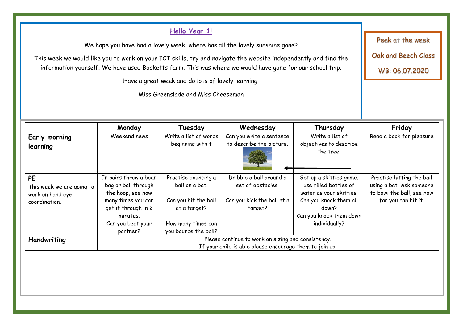| We hope you have had a lovely week, where has all the lovely sunshine gone?<br>This week we would like you to work on your ICT skills, try and navigate the website independently and find the<br>information yourself. We have used Bocketts farm. This was where we would have gone for our school trip. | Peek at the week<br>Oak and Beech Class<br>WB: 06.07.2020                                                                                                   |                                                                                                                             |                                                                                                               |                                                                                                                                                            |                                                                                                           |
|------------------------------------------------------------------------------------------------------------------------------------------------------------------------------------------------------------------------------------------------------------------------------------------------------------|-------------------------------------------------------------------------------------------------------------------------------------------------------------|-----------------------------------------------------------------------------------------------------------------------------|---------------------------------------------------------------------------------------------------------------|------------------------------------------------------------------------------------------------------------------------------------------------------------|-----------------------------------------------------------------------------------------------------------|
|                                                                                                                                                                                                                                                                                                            | Monday                                                                                                                                                      | Tuesday                                                                                                                     | Wednesday                                                                                                     | Thursday                                                                                                                                                   | Friday                                                                                                    |
| Early morning<br>learning                                                                                                                                                                                                                                                                                  | Weekend news                                                                                                                                                | Write a list of words<br>beginning with t                                                                                   | Can you write a sentence<br>to describe the picture.                                                          | Write a list of<br>objectives to describe<br>the tree.                                                                                                     | Read a book for pleasure                                                                                  |
| <b>PE</b><br>This week we are going to<br>work on hand eye<br>coordination.                                                                                                                                                                                                                                | In pairs throw a bean<br>bag or ball through<br>the hoop, see how<br>many times you can<br>get it through in 2<br>minutes.<br>Can you beat your<br>partner? | Practise bouncing a<br>ball on a bat.<br>Can you hit the ball<br>at a target?<br>How many times can<br>you bounce the ball? | Dribble a ball around a<br>set of obstacles.<br>Can you kick the ball at a<br>target?                         | Set up a skittles game,<br>use filled bottles of<br>water as your skittles.<br>Can you knock them all<br>down?<br>Can you knock them down<br>individually? | Practise hitting the ball<br>using a bat. Ask someone<br>to bowl the ball, see how<br>far you can hit it. |
| Handwriting                                                                                                                                                                                                                                                                                                |                                                                                                                                                             |                                                                                                                             | Please continue to work on sizing and consistency.<br>If your child is able please encourage them to join up. |                                                                                                                                                            |                                                                                                           |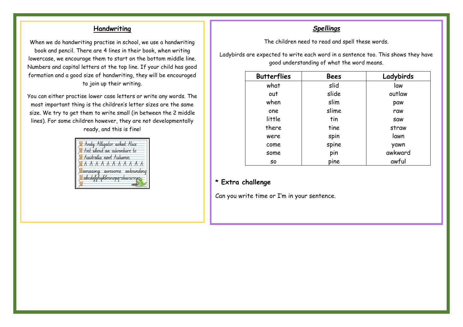#### **Handwriting**

When we do handwriting practise in school, we use a handwriting book and pencil. There are 4 lines in their book, when writing lowercase, we encourage them to start on the bottom middle line. Numbers and capital letters at the top line. If your child has good formation and a good size of handwriting, they will be encouraged to join up their writing.

You can either practise lower case letters or write any words. The most important thing is the children's letter sizes are the same size. We try to get them to write small (in between the 2 middle lines). For some children however, they are not developmentally ready, and this is fine!



### *Spellings*

The children need to read and spell these words.

Ladybirds are expected to write each word in a sentence too. This shows they have good understanding of what the word means.

| <b>Butterflies</b> | Bees  | Ladybirds  |
|--------------------|-------|------------|
| what               | slid  | law        |
| out                | slide | outlaw     |
| when               | slim  | paw        |
| one                | slime | raw        |
| little             | tin   | <b>SQW</b> |
| there              | tine  | straw      |
| were               | spin  | lawn       |
| come               | spine | yawn       |
| some               | pin   | awkward    |
| S0                 | pine  | awful      |

#### **\* Extra challenge**

Can you write time or I'm in your sentence.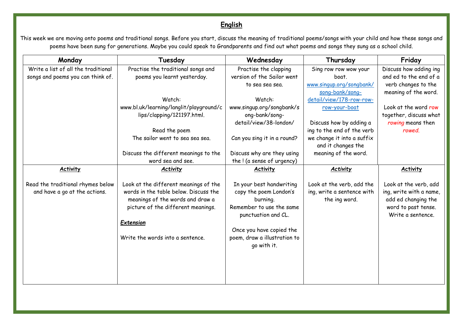## **English**

This week we are moving onto poems and traditional songs. Before you start, discuss the meaning of traditional poems/songs with your child and how these songs and poems have been sung for generations. Maybe you could speak to Grandparents and find out what poems and songs they sung as a school child.

| Monday                                                             | Tuesday                                                                                                                                                                                                   | Wednesday                                                                                                                                                                                    | Thursday                                                                 | Friday                                                                                                              |
|--------------------------------------------------------------------|-----------------------------------------------------------------------------------------------------------------------------------------------------------------------------------------------------------|----------------------------------------------------------------------------------------------------------------------------------------------------------------------------------------------|--------------------------------------------------------------------------|---------------------------------------------------------------------------------------------------------------------|
| Write a list of all the traditional                                | Practise the traditional songs and                                                                                                                                                                        | Practise the clapping                                                                                                                                                                        | Sing row row wow your                                                    | Discuss how adding ing                                                                                              |
| songs and poems you can think of.                                  | poems you learnt yesterday.                                                                                                                                                                               | version of the Sailor went                                                                                                                                                                   | boat.                                                                    | and ed to the end of a                                                                                              |
|                                                                    |                                                                                                                                                                                                           | to sea sea sea.                                                                                                                                                                              | www.singup.org/songbank/                                                 | verb changes to the                                                                                                 |
|                                                                    |                                                                                                                                                                                                           |                                                                                                                                                                                              | song-bank/song-                                                          | meaning of the word.                                                                                                |
|                                                                    | Watch:                                                                                                                                                                                                    | Watch:                                                                                                                                                                                       | detail/view/178-row-row-                                                 |                                                                                                                     |
|                                                                    | www.bl.uk/learning/langlit/playground/c                                                                                                                                                                   | www.singup.org/songbank/s                                                                                                                                                                    | row-your-boat                                                            | Look at the word row                                                                                                |
|                                                                    | lips/clapping/121197.html.                                                                                                                                                                                | ong-bank/song-                                                                                                                                                                               |                                                                          | together, discuss what                                                                                              |
|                                                                    |                                                                                                                                                                                                           | detail/view/38-london/                                                                                                                                                                       | Discuss how by adding a                                                  | rowing means then                                                                                                   |
|                                                                    | Read the poem                                                                                                                                                                                             |                                                                                                                                                                                              | ing to the end of the verb                                               | rowed.                                                                                                              |
|                                                                    | The sailor went to sea sea sea.                                                                                                                                                                           | Can you sing it in a round?                                                                                                                                                                  | we change it into a suffix                                               |                                                                                                                     |
|                                                                    |                                                                                                                                                                                                           |                                                                                                                                                                                              | and it changes the                                                       |                                                                                                                     |
|                                                                    | Discuss the different meanings to the                                                                                                                                                                     | Discuss why are they using                                                                                                                                                                   | meaning of the word.                                                     |                                                                                                                     |
|                                                                    | word sea and see.                                                                                                                                                                                         | the ! (a sense of urgency)                                                                                                                                                                   |                                                                          |                                                                                                                     |
| <b>Activity</b>                                                    | <b>Activity</b>                                                                                                                                                                                           | <b>Activity</b>                                                                                                                                                                              | <b>Activity</b>                                                          | <b>Activity</b>                                                                                                     |
| Read the traditional rhymes below<br>and have a go at the actions. | Look at the different meanings of the<br>words in the table below. Discuss the<br>meanings of the words and draw a<br>picture of the different meanings.<br>Extension<br>Write the words into a sentence. | In your best handwriting<br>copy the poem London's<br>burning.<br>Remember to use the same<br>punctuation and CL.<br>Once you have copied the<br>poem, draw a illustration to<br>go with it. | Look at the verb, add the<br>ing, write a sentence with<br>the ing word. | Look at the verb, add<br>ing, write with a name,<br>add ed changing the<br>word to past tense.<br>Write a sentence. |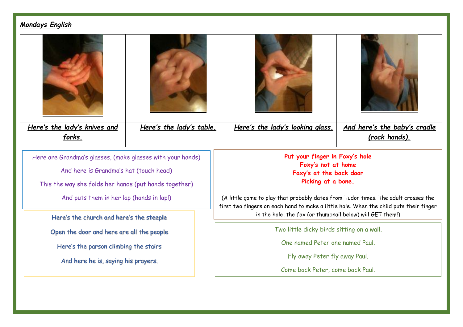# *Mondays English*

| <u>Here's the lady's knives and</u><br><u>forks.</u>                                                                                                                                                      | <u>Here's the lady's table.</u> |                                                                                                                                                                                                                                                                                                                                                    | Here's the lady's looking glass.                                                                                                                  | And here's the baby's cradle<br><u>(rock hands).</u> |
|-----------------------------------------------------------------------------------------------------------------------------------------------------------------------------------------------------------|---------------------------------|----------------------------------------------------------------------------------------------------------------------------------------------------------------------------------------------------------------------------------------------------------------------------------------------------------------------------------------------------|---------------------------------------------------------------------------------------------------------------------------------------------------|------------------------------------------------------|
| Here are Grandma's glasses, (make glasses with your hands)<br>And here is Grandma's hat (touch head)<br>This the way she folds her hands (put hands together)<br>And puts them in her lap (hands in lap!) |                                 | Put your finger in Foxy's hole<br>Foxy's not at home<br>Foxy's at the back door<br>Picking at a bone.<br>(A little game to play that probably dates from Tudor times. The adult crosses the<br>first two fingers on each hand to make a little hole. When the child puts their finger<br>in the hole, the fox (or thumbnail below) will GET them!) |                                                                                                                                                   |                                                      |
| Here's the church and here's the steeple<br>Open the door and here are all the people<br>Here's the parson climbing the stairs<br>And here he is, saying his prayers.                                     |                                 |                                                                                                                                                                                                                                                                                                                                                    | Two little dicky birds sitting on a wall.<br>One named Peter one named Paul.<br>Fly away Peter fly away Paul.<br>Come back Peter, come back Paul. |                                                      |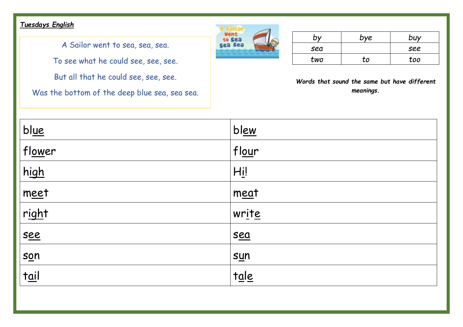## *Tuesdays English*

A Sailor went to sea, sea, sea.

To see what he could see, see, see.

But all that he could see, see, see.

Was the bottom of the deep blue sea, sea sea.



|     | bye | buy |
|-----|-----|-----|
| sea |     | see |
| two | to  | too |

*Words that sound the same but have different meanings.*

| bl <u>ue</u>    | blew         |
|-----------------|--------------|
| flower          | flour        |
| high            | Hi!          |
| meet            | meat         |
| right           | write        |
| see             | sea          |
| son             | s <u>u</u> n |
| $t$ <u>ai</u> l | tale         |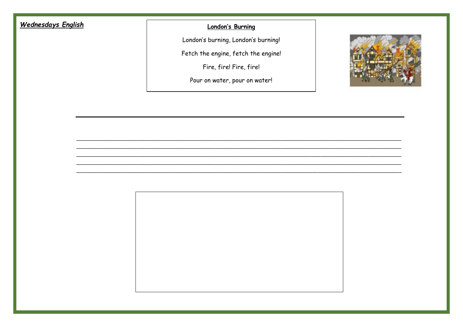# Wednesdays English

### **London's Burning**

London's burning, London's burning!

Fetch the engine, fetch the engine!

Fire, fire! Fire, fire!

Pour on water, pour on water!



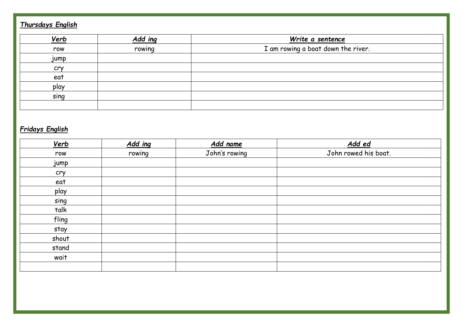# *Thursdays English*

| <u>Verb</u> | Add ing | Write a sentence                   |
|-------------|---------|------------------------------------|
| row         | rowing  | I am rowing a boat down the river. |
| jump        |         |                                    |
| cry         |         |                                    |
| eat         |         |                                    |
| play        |         |                                    |
| sing        |         |                                    |
|             |         |                                    |

## *Fridays English*

| <b>Verb</b> | Add ing | Add name      | Add ed               |
|-------------|---------|---------------|----------------------|
| row         | rowing  | John's rowing | John rowed his boat. |
| jump        |         |               |                      |
| cry         |         |               |                      |
| eat         |         |               |                      |
| play        |         |               |                      |
| sing        |         |               |                      |
| talk        |         |               |                      |
| fling       |         |               |                      |
| stay        |         |               |                      |
| shout       |         |               |                      |
| stand       |         |               |                      |
| wait        |         |               |                      |
|             |         |               |                      |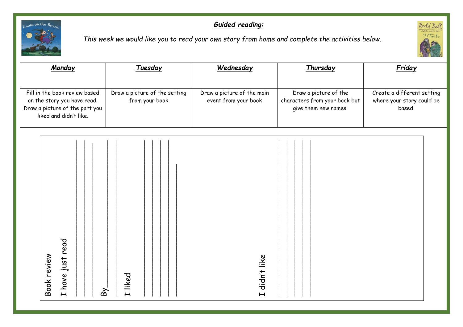# *Guided reading:*



 *This week we would like you to read your own story from home and complete the activities below.* 



| Monday                                                                                                                   | Tuesday                                         | Wednesday                                          | Thursday                                                                       | <u>Friday</u>                                                     |
|--------------------------------------------------------------------------------------------------------------------------|-------------------------------------------------|----------------------------------------------------|--------------------------------------------------------------------------------|-------------------------------------------------------------------|
| Fill in the book review based<br>on the story you have read.<br>Draw a picture of the part you<br>liked and didn't like. | Draw a picture of the setting<br>from your book | Draw a picture of the main<br>event from your book | Draw a picture of the<br>characters from your book but<br>give them new names. | Create a different setting<br>where your story could be<br>based. |

| I have just read<br>Book review |                                  | I didn't like |  |
|---------------------------------|----------------------------------|---------------|--|
|                                 | I liked<br>$\mathbf{S}^{\prime}$ |               |  |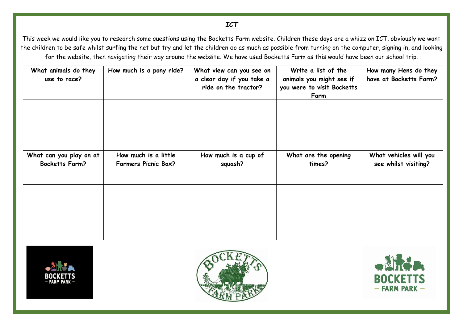### *ICT*

This week we would like you to research some questions using the Bocketts Farm website. Children these days are a whizz on ICT, obviously we want the children to be safe whilst surfing the net but try and let the children do as much as possible from turning on the computer, signing in, and looking for the website, then navigating their way around the website. We have used Bocketts Farm as this would have been our school trip.

| What animals do they<br>use to race?             | How much is a pony ride?                           | What view can you see on<br>a clear day if you take a<br>ride on the tractor? | Write a list of the<br>animals you might see if<br>you were to visit Bocketts<br>Farm | How many Hens do they<br>have at Bocketts Farm? |
|--------------------------------------------------|----------------------------------------------------|-------------------------------------------------------------------------------|---------------------------------------------------------------------------------------|-------------------------------------------------|
| What can you play on at<br><b>Bocketts Farm?</b> | How much is a little<br><b>Farmers Picnic Box?</b> | How much is a cup of<br>squash?                                               | What are the opening<br>times?                                                        | What vehicles will you<br>see whilst visiting?  |
|                                                  |                                                    |                                                                               |                                                                                       |                                                 |
|                                                  |                                                    |                                                                               |                                                                                       |                                                 |





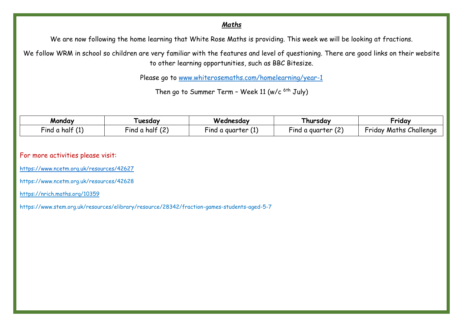#### *Maths*

We are now following the home learning that White Rose Maths is providing. This week we will be looking at fractions.

We follow WRM in school so children are very familiar with the features and level of questioning. There are good links on their website to other learning opportunities, such as BBC Bitesize.

Please go to [www.whiterosemaths.com/homelearning/year-1](http://www.whiterosemaths.com/homelearning/year-1)

Then go to Summer Term - Week 11 (w/c  $<sup>6th</sup>$  July)</sup>

| Monday              | uesdav                      | Wednesday                      | <b>i</b> hursday      | -<br><b>Friday</b>                                                |
|---------------------|-----------------------------|--------------------------------|-----------------------|-------------------------------------------------------------------|
| f(1)<br>Find a halt | $\sim$<br>-ınd a halt<br>12 | $\lnot$ ind a quarter .<br>(1) | (2)<br>Find a quarter | $\overline{\phantom{a}}$<br>Challenge<br>' Maths<br><b>Friday</b> |

For more activities please visit:

<https://www.ncetm.org.uk/resources/42627>

https://www.ncetm.org.uk/resources/42628

<https://nrich.maths.org/10359>

https://www.stem.org.uk/resources/elibrary/resource/28342/fraction-games-students-aged-5-7